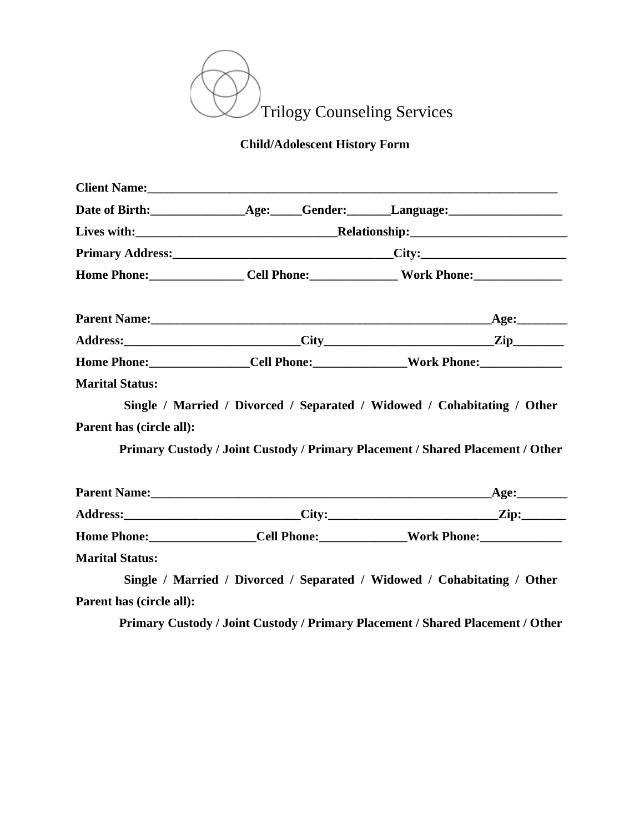

## **Child/Adolescent History Form**

|                                                    | Primary Address: City: City: |                                                                                                                                                            |  |
|----------------------------------------------------|------------------------------|------------------------------------------------------------------------------------------------------------------------------------------------------------|--|
|                                                    |                              |                                                                                                                                                            |  |
|                                                    |                              |                                                                                                                                                            |  |
|                                                    |                              |                                                                                                                                                            |  |
|                                                    |                              | Home Phone:_______________Cell Phone:______________Work Phone:___________________                                                                          |  |
| Parent has (circle all):                           |                              | Single / Married / Divorced / Separated / Widowed / Cohabitating / Other<br>Primary Custody / Joint Custody / Primary Placement / Shared Placement / Other |  |
|                                                    |                              |                                                                                                                                                            |  |
|                                                    |                              |                                                                                                                                                            |  |
|                                                    |                              | Home Phone: _________________Cell Phone: _____________Work Phone: _______________                                                                          |  |
| <b>Marital Status:</b><br>Parent has (circle all): |                              | Single / Married / Divorced / Separated / Widowed / Cohabitating / Other                                                                                   |  |

**Primary Custody / Joint Custody / Primary Placement / Shared Placement / Other**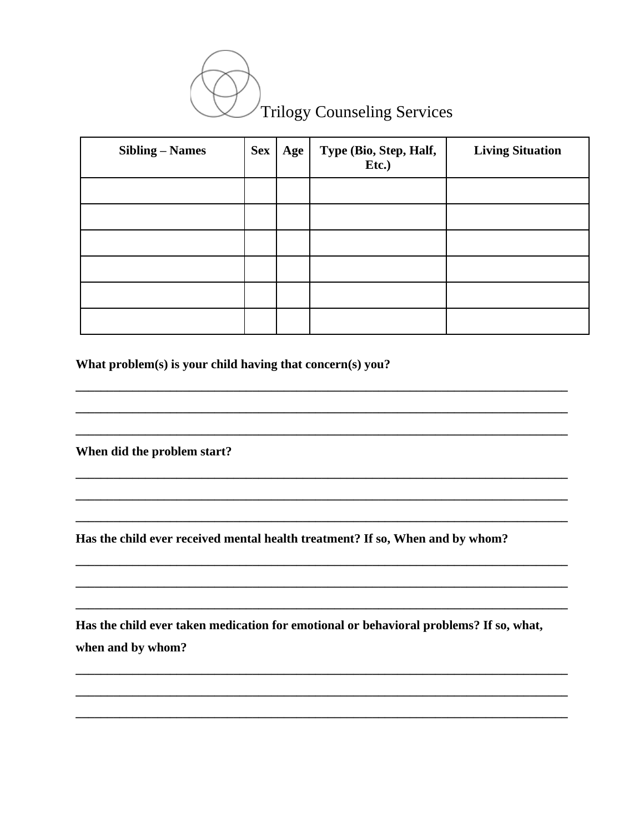

| <b>Sibling – Names</b> | <b>Sex</b> | Age | Type (Bio, Step, Half,<br>Etc.) | <b>Living Situation</b> |
|------------------------|------------|-----|---------------------------------|-------------------------|
|                        |            |     |                                 |                         |
|                        |            |     |                                 |                         |
|                        |            |     |                                 |                         |
|                        |            |     |                                 |                         |
|                        |            |     |                                 |                         |
|                        |            |     |                                 |                         |

What problem(s) is your child having that concern(s) you?

When did the problem start?

Has the child ever received mental health treatment? If so, When and by whom?

Has the child ever taken medication for emotional or behavioral problems? If so, what, when and by whom?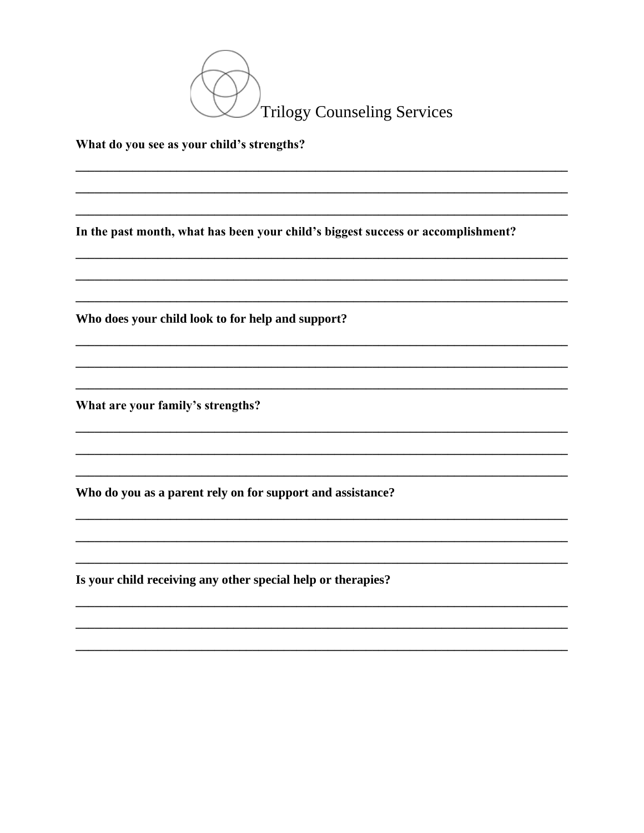

## What do you see as your child's strengths?

In the past month, what has been your child's biggest success or accomplishment?

Who does your child look to for help and support?

What are your family's strengths?

Who do you as a parent rely on for support and assistance?

Is your child receiving any other special help or therapies?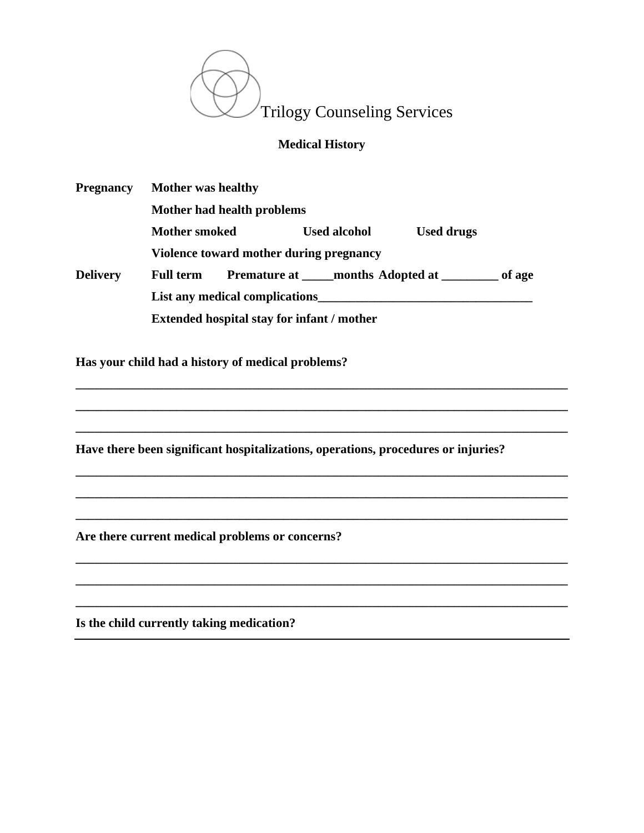

## **Medical History**

| <b>Pregnancy</b>               | <b>Mother was healthy</b>                         |  |                                                   |                   |        |  |
|--------------------------------|---------------------------------------------------|--|---------------------------------------------------|-------------------|--------|--|
|                                | Mother had health problems                        |  |                                                   |                   |        |  |
|                                | <b>Mother smoked</b>                              |  | <b>Used alcohol</b>                               | <b>Used drugs</b> |        |  |
|                                | Violence toward mother during pregnancy           |  |                                                   |                   |        |  |
| <b>Delivery</b>                | <b>Full term</b>                                  |  | <b>Premature at _____ months Adopted at _____</b> |                   | of age |  |
| List any medical complications |                                                   |  |                                                   |                   |        |  |
|                                | <b>Extended hospital stay for infant / mother</b> |  |                                                   |                   |        |  |

**\_\_\_\_\_\_\_\_\_\_\_\_\_\_\_\_\_\_\_\_\_\_\_\_\_\_\_\_\_\_\_\_\_\_\_\_\_\_\_\_\_\_\_\_\_\_\_\_\_\_\_\_\_\_\_\_\_\_\_\_\_\_\_\_\_\_\_\_\_\_\_\_\_\_\_\_\_\_**

**\_\_\_\_\_\_\_\_\_\_\_\_\_\_\_\_\_\_\_\_\_\_\_\_\_\_\_\_\_\_\_\_\_\_\_\_\_\_\_\_\_\_\_\_\_\_\_\_\_\_\_\_\_\_\_\_\_\_\_\_\_\_\_\_\_\_\_\_\_\_\_\_\_\_\_\_\_\_**

**\_\_\_\_\_\_\_\_\_\_\_\_\_\_\_\_\_\_\_\_\_\_\_\_\_\_\_\_\_\_\_\_\_\_\_\_\_\_\_\_\_\_\_\_\_\_\_\_\_\_\_\_\_\_\_\_\_\_\_\_\_\_\_\_\_\_\_\_\_\_\_\_\_\_\_\_\_\_**

**\_\_\_\_\_\_\_\_\_\_\_\_\_\_\_\_\_\_\_\_\_\_\_\_\_\_\_\_\_\_\_\_\_\_\_\_\_\_\_\_\_\_\_\_\_\_\_\_\_\_\_\_\_\_\_\_\_\_\_\_\_\_\_\_\_\_\_\_\_\_\_\_\_\_\_\_\_\_**

**\_\_\_\_\_\_\_\_\_\_\_\_\_\_\_\_\_\_\_\_\_\_\_\_\_\_\_\_\_\_\_\_\_\_\_\_\_\_\_\_\_\_\_\_\_\_\_\_\_\_\_\_\_\_\_\_\_\_\_\_\_\_\_\_\_\_\_\_\_\_\_\_\_\_\_\_\_\_**

**\_\_\_\_\_\_\_\_\_\_\_\_\_\_\_\_\_\_\_\_\_\_\_\_\_\_\_\_\_\_\_\_\_\_\_\_\_\_\_\_\_\_\_\_\_\_\_\_\_\_\_\_\_\_\_\_\_\_\_\_\_\_\_\_\_\_\_\_\_\_\_\_\_\_\_\_\_\_**

**\_\_\_\_\_\_\_\_\_\_\_\_\_\_\_\_\_\_\_\_\_\_\_\_\_\_\_\_\_\_\_\_\_\_\_\_\_\_\_\_\_\_\_\_\_\_\_\_\_\_\_\_\_\_\_\_\_\_\_\_\_\_\_\_\_\_\_\_\_\_\_\_\_\_\_\_\_\_**

**\_\_\_\_\_\_\_\_\_\_\_\_\_\_\_\_\_\_\_\_\_\_\_\_\_\_\_\_\_\_\_\_\_\_\_\_\_\_\_\_\_\_\_\_\_\_\_\_\_\_\_\_\_\_\_\_\_\_\_\_\_\_\_\_\_\_\_\_\_\_\_\_\_\_\_\_\_\_**

**\_\_\_\_\_\_\_\_\_\_\_\_\_\_\_\_\_\_\_\_\_\_\_\_\_\_\_\_\_\_\_\_\_\_\_\_\_\_\_\_\_\_\_\_\_\_\_\_\_\_\_\_\_\_\_\_\_\_\_\_\_\_\_\_\_\_\_\_\_\_\_\_\_\_\_\_\_\_**

**Has your child had a history of medical problems?** 

**Have there been significant hospitalizations, operations, procedures or injuries?**

**Are there current medical problems or concerns?**

**Is the child currently taking medication?**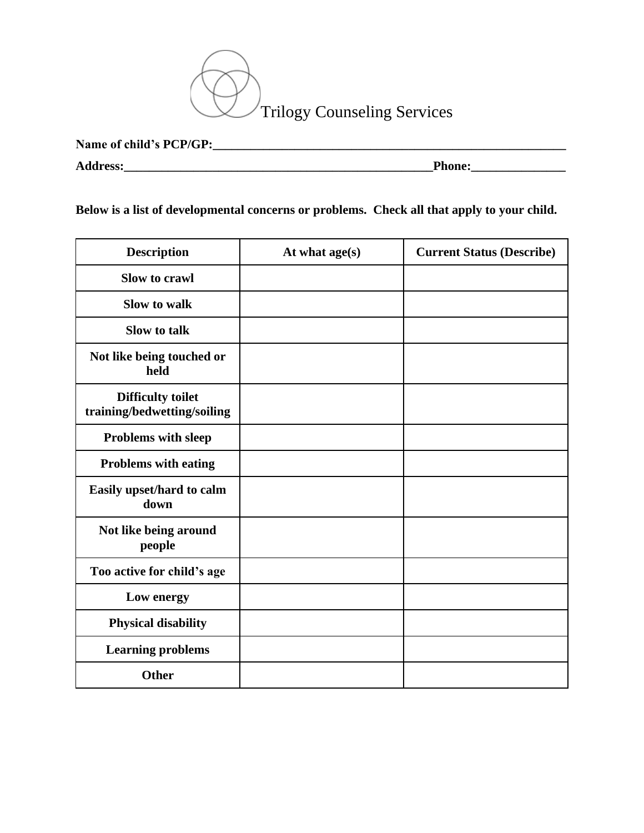

| Name of child's PCP/GP: |               |
|-------------------------|---------------|
| <b>Address:</b>         | <b>Phone:</b> |

**Below is a list of developmental concerns or problems. Check all that apply to your child.**

| <b>Description</b>                                      | At what age(s) | <b>Current Status (Describe)</b> |
|---------------------------------------------------------|----------------|----------------------------------|
| Slow to crawl                                           |                |                                  |
| <b>Slow to walk</b>                                     |                |                                  |
| Slow to talk                                            |                |                                  |
| Not like being touched or<br>held                       |                |                                  |
| <b>Difficulty toilet</b><br>training/bedwetting/soiling |                |                                  |
| Problems with sleep                                     |                |                                  |
| <b>Problems with eating</b>                             |                |                                  |
| Easily upset/hard to calm<br>down                       |                |                                  |
| Not like being around<br>people                         |                |                                  |
| Too active for child's age                              |                |                                  |
| Low energy                                              |                |                                  |
| <b>Physical disability</b>                              |                |                                  |
| <b>Learning problems</b>                                |                |                                  |
| <b>Other</b>                                            |                |                                  |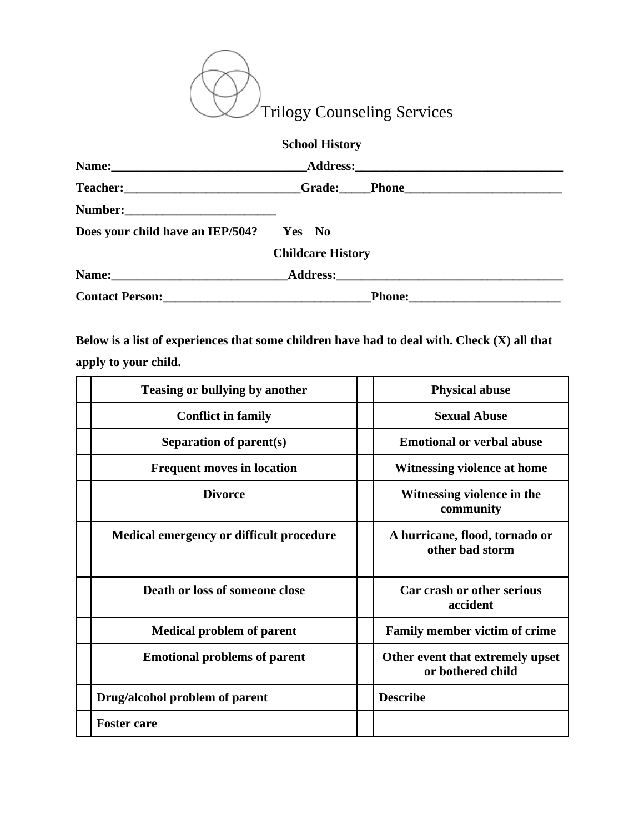

|                                  | <b>School History</b>                                                            |  |
|----------------------------------|----------------------------------------------------------------------------------|--|
|                                  |                                                                                  |  |
|                                  | Teacher: _________________________Grade: ____Phone______________________________ |  |
|                                  |                                                                                  |  |
| Does your child have an IEP/504? | Yes No                                                                           |  |
|                                  | <b>Childcare History</b>                                                         |  |
|                                  | Name: Address: Address:                                                          |  |
|                                  |                                                                                  |  |

**Below is a list of experiences that some children have had to deal with. Check (X) all that apply to your child.**

| <b>Teasing or bullying by another</b>    | <b>Physical abuse</b>                                 |  |
|------------------------------------------|-------------------------------------------------------|--|
| <b>Conflict in family</b>                | <b>Sexual Abuse</b>                                   |  |
| Separation of parent(s)                  | <b>Emotional or verbal abuse</b>                      |  |
| <b>Frequent moves in location</b>        | Witnessing violence at home                           |  |
| <b>Divorce</b>                           | Witnessing violence in the<br>community               |  |
| Medical emergency or difficult procedure | A hurricane, flood, tornado or<br>other bad storm     |  |
| Death or loss of someone close           | Car crash or other serious<br>accident                |  |
| <b>Medical problem of parent</b>         | <b>Family member victim of crime</b>                  |  |
| <b>Emotional problems of parent</b>      | Other event that extremely upset<br>or bothered child |  |
| Drug/alcohol problem of parent           | <b>Describe</b>                                       |  |
| <b>Foster care</b>                       |                                                       |  |